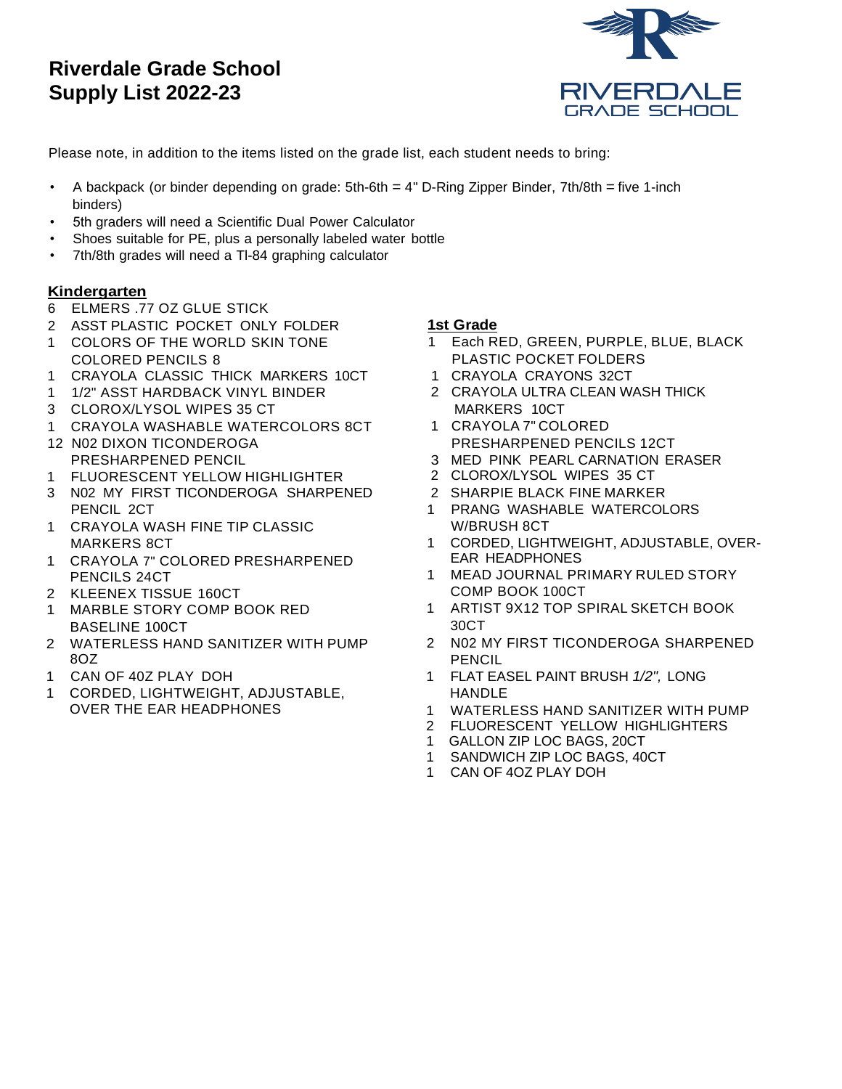# **Riverdale Grade School Supply List 2022-23**



Please note, in addition to the items listed on the grade list, each student needs to bring:

- A backpack (or binder depending on grade: 5th-6th = 4" D-Ring Zipper Binder, 7th/8th = five 1-inch binders)
- 5th graders will need a Scientific Dual Power Calculator
- Shoes suitable for PE, plus a personally labeled water bottle
- 7th/8th grades will need a Tl-84 graphing calculator

### **Kindergarten**

- 6 ELMERS .77 OZ GLUE STICK
- 2 ASST PLASTIC POCKET ONLY FOLDER
- 1 COLORS OF THE WORLD SKIN TONE COLORED PENCILS 8
- 1 CRAYOLA CLASSIC THICK MARKERS 10CT
- 1 1/2" ASST HARDBACK VINYL BINDER
- 3 CLOROX/LYSOL WIPES 35 CT
- 1 CRAYOLA WASHABLE WATERCOLORS 8CT
- 12 N02 DIXON TICONDEROGA PRESHARPENED PENCIL
- 1 FLUORESCENT YELLOW HIGHLIGHTER
- 3 N02 MY FIRST TICONDEROGA SHARPENED PENCIL 2CT
- 1 CRAYOLA WASH FINE TIP CLASSIC MARKERS 8CT
- 1 CRAYOLA 7" COLORED PRESHARPENED PENCILS 24CT
- 2 KLEENEX TISSUE 160CT
- 1 MARBLE STORY COMP BOOK RED BASELINE 100CT
- 2 WATERLESS HAND SANITIZER WITH PUMP 8OZ
- 1 CAN OF 40Z PLAY DOH
- 1 CORDED, LIGHTWEIGHT, ADJUSTABLE, OVER THE EAR HEADPHONES

### **1st Grade**

- 1 Each RED, GREEN, PURPLE, BLUE, BLACK PLASTIC POCKET FOLDERS
- 1 CRAYOLA CRAYONS 32CT
- 2 CRAYOLA ULTRA CLEAN WASH THICK MARKERS 10CT
- 1 CRAYOLA 7" COLORED PRESHARPENED PENCILS 12CT
- 3 MED PINK PEARL CARNATION ERASER
- 2 CLOROX/LYSOL WIPES 35 CT
- 2 SHARPIE BLACK FINE MARKER
- 1 PRANG WASHABLE WATERCOLORS W/BRUSH 8CT
- 1 CORDED, LIGHTWEIGHT, ADJUSTABLE, OVER-EAR HEADPHONES
- 1 MEAD JOURNAL PRIMARY RULED STORY COMP BOOK 100CT
- 1 ARTIST 9X12 TOP SPIRAL SKETCH BOOK 30CT
- 2 N02 MY FIRST TICONDEROGA SHARPENED PENCIL
- 1 FLAT EASEL PAINT BRUSH *1/2",* LONG HANDLE
- 1 WATERLESS HAND SANITIZER WITH PUMP
- 2 FLUORESCENT YELLOW HIGHLIGHTERS
- 1 GALLON ZIP LOC BAGS, 20CT
- 1 SANDWICH ZIP LOC BAGS, 40CT
- 1 CAN OF 4OZ PLAY DOH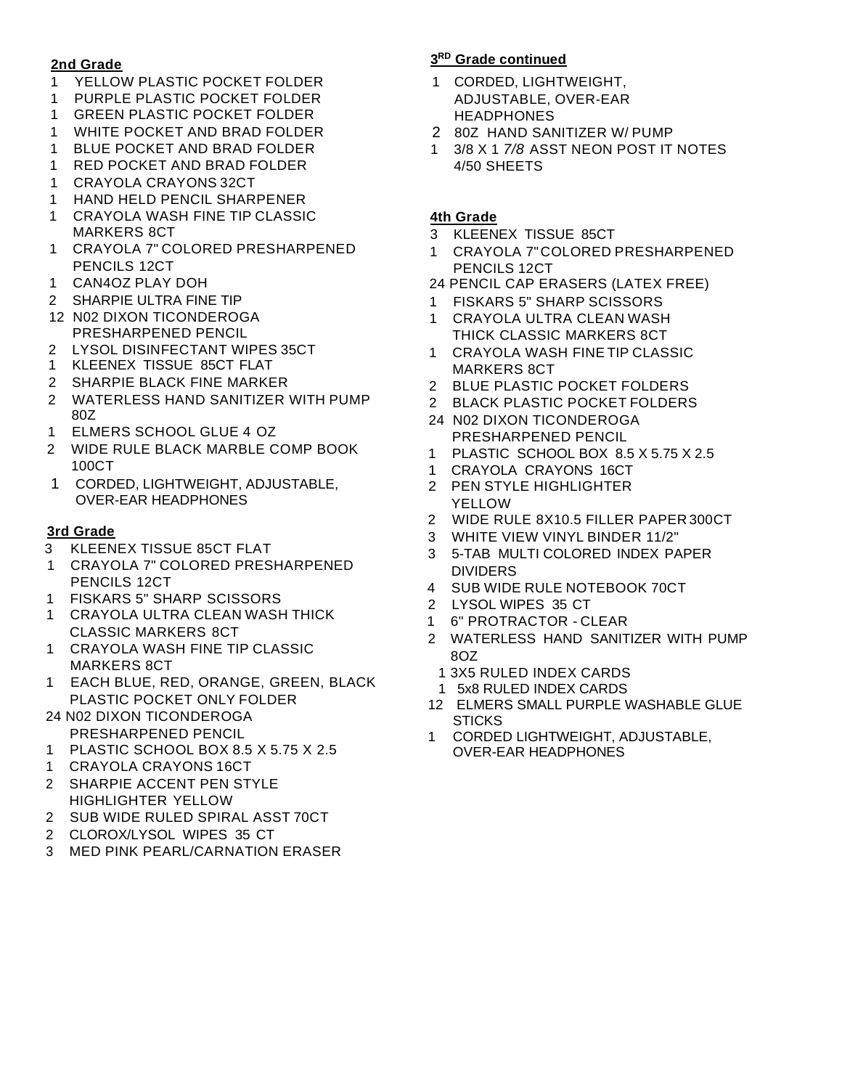#### **2nd Grade**

- YELLOW PLASTIC POCKET FOLDER
- PURPLE PLASTIC POCKET FOLDER
- GREEN PLASTIC POCKET FOLDER
- WHITE POCKET AND BRAD FOLDER
- BLUE POCKET AND BRAD FOLDER
- RED POCKET AND BRAD FOLDER
- CRAYOLA CRAYONS 32CT
- HAND HELD PENCIL SHARPENER
- CRAYOLA WASH FINE TIP CLASSIC MARKERS 8CT
- CRAYOLA 7" COLORED PRESHARPENED PENCILS 12CT
- CAN4OZ PLAY DOH
- SHARPIE ULTRA FINE TIP
- 12 N02 DIXON TICONDEROGA PRESHARPENED PENCIL
- LYSOL DISINFECTANT WIPES 35CT
- KLEENEX TISSUE 85CT FLAT
- SHARPIE BLACK FINE MARKER
- WATERLESS HAND SANITIZER WITH PUMP 80Z
- ELMERS SCHOOL GLUE 4 OZ
- WIDE RULE BLACK MARBLE COMP BOOK 100CT
- CORDED, LIGHTWEIGHT, ADJUSTABLE, OVER-EAR HEADPHONES

### **3rd Grade**

- KLEENEX TISSUE 85CT FLAT
- CRAYOLA 7" COLORED PRESHARPENED PENCILS 12CT
- FISKARS 5" SHARP SCISSORS
- CRAYOLA ULTRA CLEAN WASH THICK CLASSIC MARKERS 8CT
- CRAYOLA WASH FINE TIP CLASSIC MARKERS 8CT
- EACH BLUE, RED, ORANGE, GREEN, BLACK PLASTIC POCKET ONLY FOLDER
- 24 N02 DIXON TICONDEROGA PRESHARPENED PENCIL
- PLASTIC SCHOOL BOX 8.5 X 5.75 X 2.5
- CRAYOLA CRAYONS 16CT
- SHARPIE ACCENT PEN STYLE HIGHLIGHTER YELLOW
- SUB WIDE RULED SPIRAL ASST 70CT
- CLOROX/LYSOL WIPES 35 CT
- MED PINK PEARL/CARNATION ERASER

### **RD Grade continued**

- CORDED, LIGHTWEIGHT, ADJUSTABLE, OVER-EAR HEADPHONES
- 80Z HAND SANITIZER W/ PUMP
- 3/8 X 1 *7/8* ASST NEON POST IT NOTES 4/50 SHEETS

#### **4th Grade**

- KLEENEX TISSUE 85CT
- CRAYOLA 7"COLORED PRESHARPENED PENCILS 12CT
- 24 PENCIL CAP ERASERS (LATEX FREE)
- FISKARS 5" SHARP SCISSORS
- CRAYOLA ULTRA CLEAN WASH THICK CLASSIC MARKERS 8CT
- CRAYOLA WASH FINE TIP CLASSIC MARKERS 8CT
- BLUE PLASTIC POCKET FOLDERS
- BLACK PLASTIC POCKET FOLDERS
- 24 N02 DIXON TICONDEROGA PRESHARPENED PENCIL
- PLASTIC SCHOOL BOX 8.5 X 5.75 X 2.5
- CRAYOLA CRAYONS 16CT
- PEN STYLE HIGHLIGHTER YELLOW
- WIDE RULE 8X10.5 FILLER PAPER 300CT
- WHITE VIEW VINYL BINDER 11/2"
- 5-TAB MULTI COLORED INDEX PAPER DIVIDERS
- SUB WIDE RULE NOTEBOOK 70CT
- LYSOL WIPES 35 CT
- 6" PROTRACTOR CLEAR
- 2 WATERLESS HAND SANITIZER WITH PUMP 8OZ
- 1 3X5 RULED INDEX CARDS
- 1 5x8 RULED INDEX CARDS
- ELMERS SMALL PURPLE WASHABLE GLUE **STICKS**
- CORDED LIGHTWEIGHT, ADJUSTABLE, OVER-EAR HEADPHONES